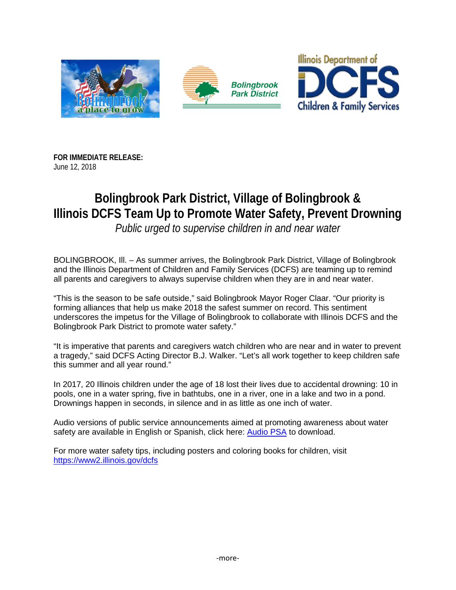

**FOR IMMEDIATE RELEASE:** June 12, 2018

## **Bolingbrook Park District, Village of Bolingbrook & Illinois DCFS Team Up to Promote Water Safety, Prevent Drowning**

*Public urged to supervise children in and near water*

BOLINGBROOK, Ill. – As summer arrives, the Bolingbrook Park District, Village of Bolingbrook and the Illinois Department of Children and Family Services (DCFS) are teaming up to remind all parents and caregivers to always supervise children when they are in and near water.

"This is the season to be safe outside," said Bolingbrook Mayor Roger Claar. "Our priority is forming alliances that help us make 2018 the safest summer on record. This sentiment underscores the impetus for the Village of Bolingbrook to collaborate with Illinois DCFS and the Bolingbrook Park District to promote water safety."

"It is imperative that parents and caregivers watch children who are near and in water to prevent a tragedy," said DCFS Acting Director B.J. Walker. "Let's all work together to keep children safe this summer and all year round."

In 2017, 20 Illinois children under the age of 18 lost their lives due to accidental drowning: 10 in pools, one in a water spring, five in bathtubs, one in a river, one in a lake and two in a pond. Drownings happen in seconds, in silence and in as little as one inch of water.

Audio versions of public service announcements aimed at promoting awareness about water safety are available in English or Spanish, click here: [Audio PSA](https://www2.illinois.gov/dcfs/aboutus/newsandreports/PSA/Pages/default.aspx) to download.

For more water safety tips, including posters and coloring books for children, visit <https://www2.illinois.gov/dcfs>